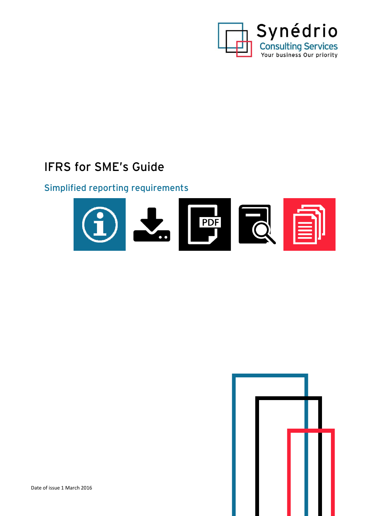

# IFRS for SME's Guide

# Simplified reporting requirements



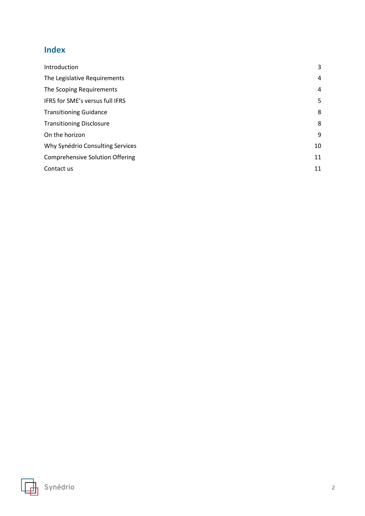# **Index**

| Introduction                           | 3  |
|----------------------------------------|----|
| The Legislative Requirements           | 4  |
| The Scoping Requirements               | 4  |
| IFRS for SME's versus full IFRS        | 5  |
| <b>Transitioning Guidance</b>          | 8  |
| <b>Transitioning Disclosure</b>        | 8  |
| On the horizon                         | 9  |
| Why Synédrio Consulting Services       | 10 |
| <b>Comprehensive Solution Offering</b> | 11 |
| Contact us                             | 11 |

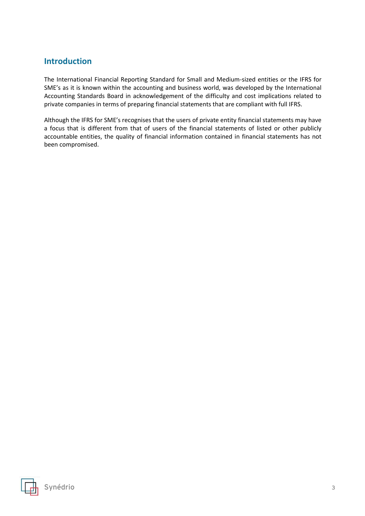# <span id="page-2-0"></span>**Introduction**

The International Financial Reporting Standard for Small and Medium-sized entities or the IFRS for SME's as it is known within the accounting and business world, was developed by the International Accounting Standards Board in acknowledgement of the difficulty and cost implications related to private companies in terms of preparing financial statements that are compliant with full IFRS.

Although the IFRS for SME's recognises that the users of private entity financial statements may have a focus that is different from that of users of the financial statements of listed or other publicly accountable entities, the quality of financial information contained in financial statements has not been compromised.

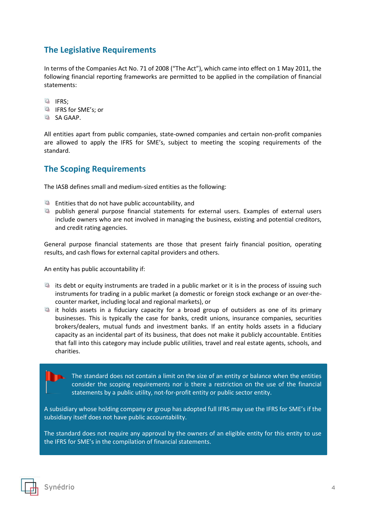# <span id="page-3-0"></span>**The Legislative Requirements**

In terms of the Companies Act No. 71 of 2008 ("The Act"), which came into effect on 1 May 2011, the following financial reporting frameworks are permitted to be applied in the compilation of financial statements:

**La** IFRS:

- **La** IFRS for SME's; or
- **国 SA GAAP.**

All entities apart from public companies, state-owned companies and certain non-profit companies are allowed to apply the IFRS for SME's, subject to meeting the scoping requirements of the standard.

### <span id="page-3-1"></span>**The Scoping Requirements**

The IASB defines small and medium-sized entities as the following:

- $\Box$  Entities that do not have public accountability, and
- $\Box$  publish general purpose financial statements for external users. Examples of external users include owners who are not involved in managing the business, existing and potential creditors, and credit rating agencies.

General purpose financial statements are those that present fairly financial position, operating results, and cash flows for external capital providers and others.

An entity has public accountability if:

- $\Box$  its debt or equity instruments are traded in a public market or it is in the process of issuing such instruments for trading in a public market (a domestic or foreign stock exchange or an over-thecounter market, including local and regional markets), or
- $\Box$  it holds assets in a fiduciary capacity for a broad group of outsiders as one of its primary businesses. This is typically the case for banks, credit unions, insurance companies, securities brokers/dealers, mutual funds and investment banks. If an entity holds assets in a fiduciary capacity as an incidental part of its business, that does not make it publicly accountable. Entities that fall into this category may include public utilities, travel and real estate agents, schools, and charities.

The standard does not contain a limit on the size of an entity or balance when the entities consider the scoping requirements nor is there a restriction on the use of the financial statements by a public utility, not-for-profit entity or public sector entity.

A subsidiary whose holding company or group has adopted full IFRS may use the IFRS for SME's if the subsidiary itself does not have public accountability.

The standard does not require any approval by the owners of an eligible entity for this entity to use the IFRS for SME's in the compilation of financial statements.

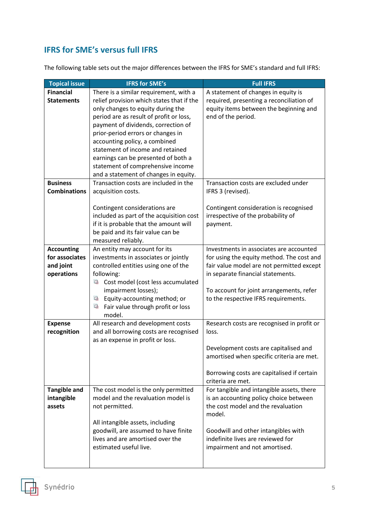# <span id="page-4-0"></span>**IFRS for SME's versus full IFRS**

The following table sets out the major differences between the IFRS for SME's standard and full IFRS:

| <b>Topical issue</b>                | <b>IFRS for SME's</b>                              | <b>Full IFRS</b>                                                                       |
|-------------------------------------|----------------------------------------------------|----------------------------------------------------------------------------------------|
| <b>Financial</b>                    | There is a similar requirement, with a             | A statement of changes in equity is                                                    |
| <b>Statements</b>                   | relief provision which states that if the          | required, presenting a reconciliation of                                               |
|                                     | only changes to equity during the                  | equity items between the beginning and                                                 |
|                                     | period are as result of profit or loss,            | end of the period.                                                                     |
|                                     | payment of dividends, correction of                |                                                                                        |
|                                     | prior-period errors or changes in                  |                                                                                        |
|                                     | accounting policy, a combined                      |                                                                                        |
|                                     | statement of income and retained                   |                                                                                        |
|                                     | earnings can be presented of both a                |                                                                                        |
|                                     | statement of comprehensive income                  |                                                                                        |
|                                     | and a statement of changes in equity.              |                                                                                        |
| <b>Business</b>                     | Transaction costs are included in the              | Transaction costs are excluded under                                                   |
| <b>Combinations</b>                 | acquisition costs.                                 | IFRS 3 (revised).                                                                      |
|                                     |                                                    |                                                                                        |
|                                     | Contingent considerations are                      | Contingent consideration is recognised                                                 |
|                                     | included as part of the acquisition cost           | irrespective of the probability of                                                     |
|                                     | if it is probable that the amount will             | payment.                                                                               |
|                                     | be paid and its fair value can be                  |                                                                                        |
|                                     | measured reliably.                                 | Investments in associates are accounted                                                |
| <b>Accounting</b><br>for associates | An entity may account for its                      |                                                                                        |
|                                     | investments in associates or jointly               | for using the equity method. The cost and<br>fair value model are not permitted except |
| and joint<br>operations             | controlled entities using one of the<br>following: | in separate financial statements.                                                      |
|                                     | 屆<br>Cost model (cost less accumulated             |                                                                                        |
|                                     | impairment losses);                                | To account for joint arrangements, refer                                               |
|                                     | Equity-accounting method; or<br>岫                  | to the respective IFRS requirements.                                                   |
|                                     | 崜<br>Fair value through profit or loss             |                                                                                        |
|                                     | model.                                             |                                                                                        |
| <b>Expense</b>                      | All research and development costs                 | Research costs are recognised in profit or                                             |
| recognition                         | and all borrowing costs are recognised             | loss.                                                                                  |
|                                     | as an expense in profit or loss.                   |                                                                                        |
|                                     |                                                    | Development costs are capitalised and                                                  |
|                                     |                                                    | amortised when specific criteria are met.                                              |
|                                     |                                                    |                                                                                        |
|                                     |                                                    | Borrowing costs are capitalised if certain                                             |
|                                     |                                                    | criteria are met.                                                                      |
| <b>Tangible and</b>                 | The cost model is the only permitted               | For tangible and intangible assets, there                                              |
| intangible                          | model and the revaluation model is                 | is an accounting policy choice between                                                 |
| assets                              | not permitted.                                     | the cost model and the revaluation                                                     |
|                                     |                                                    | model.                                                                                 |
|                                     | All intangible assets, including                   |                                                                                        |
|                                     | goodwill, are assumed to have finite               | Goodwill and other intangibles with                                                    |
|                                     | lives and are amortised over the                   | indefinite lives are reviewed for                                                      |
|                                     | estimated useful live.                             | impairment and not amortised.                                                          |
|                                     |                                                    |                                                                                        |
|                                     |                                                    |                                                                                        |

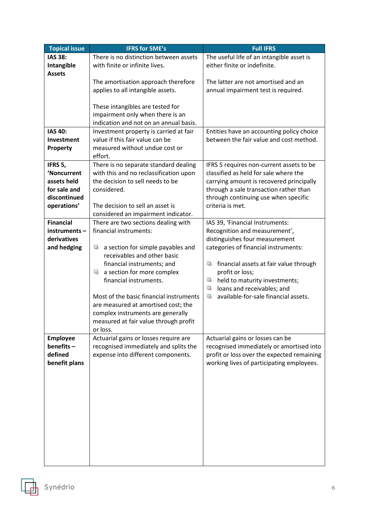| <b>Topical issue</b> | <b>IFRS for SME's</b>                                         | <b>Full IFRS</b>                                                |
|----------------------|---------------------------------------------------------------|-----------------------------------------------------------------|
| <b>IAS 38:</b>       | There is no distinction between assets                        | The useful life of an intangible asset is                       |
| Intangible           | with finite or infinite lives.                                | either finite or indefinite.                                    |
| <b>Assets</b>        |                                                               |                                                                 |
|                      | The amortisation approach therefore                           | The latter are not amortised and an                             |
|                      | applies to all intangible assets.                             | annual impairment test is required.                             |
|                      |                                                               |                                                                 |
|                      | These intangibles are tested for                              |                                                                 |
|                      | impairment only when there is an                              |                                                                 |
|                      | indication and not on an annual basis.                        |                                                                 |
| <b>IAS 40:</b>       | Investment property is carried at fair                        | Entities have an accounting policy choice                       |
| Investment           | value if this fair value can be                               | between the fair value and cost method.                         |
| Property             | measured without undue cost or                                |                                                                 |
|                      | effort.                                                       |                                                                 |
| IFRS 5,              | There is no separate standard dealing                         | IFRS 5 requires non-current assets to be                        |
| 'Noncurrent          | with this and no reclassification upon                        | classified as held for sale where the                           |
| assets held          | the decision to sell needs to be                              | carrying amount is recovered principally                        |
| for sale and         | considered.                                                   | through a sale transaction rather than                          |
| discontinued         |                                                               | through continuing use when specific                            |
| operations'          | The decision to sell an asset is                              | criteria is met.                                                |
| <b>Financial</b>     | considered an impairment indicator.                           |                                                                 |
| instruments-         | There are two sections dealing with<br>financial instruments: | IAS 39, 'Financial Instruments:                                 |
| derivatives          |                                                               | Recognition and measurement',<br>distinguishes four measurement |
| and hedging          | 囁<br>a section for simple payables and                        | categories of financial instruments:                            |
|                      | receivables and other basic                                   |                                                                 |
|                      | financial instruments; and                                    | 屆<br>financial assets at fair value through                     |
|                      | 岫<br>a section for more complex                               | profit or loss;                                                 |
|                      | financial instruments.                                        | 囁<br>held to maturity investments;                              |
|                      |                                                               | 囁<br>loans and receivables; and                                 |
|                      | Most of the basic financial instruments                       | 囁<br>available-for-sale financial assets.                       |
|                      | are measured at amortised cost; the                           |                                                                 |
|                      | complex instruments are generally                             |                                                                 |
|                      | measured at fair value through profit                         |                                                                 |
|                      | or loss.                                                      |                                                                 |
| <b>Employee</b>      | Actuarial gains or losses require are                         | Actuarial gains or losses can be                                |
| benefits-            | recognised immediately and splits the                         | recognised immediately or amortised into                        |
| defined              | expense into different components.                            | profit or loss over the expected remaining                      |
| benefit plans        |                                                               | working lives of participating employees.                       |
|                      |                                                               |                                                                 |
|                      |                                                               |                                                                 |
|                      |                                                               |                                                                 |
|                      |                                                               |                                                                 |
|                      |                                                               |                                                                 |
|                      |                                                               |                                                                 |
|                      |                                                               |                                                                 |
|                      |                                                               |                                                                 |
|                      |                                                               |                                                                 |
|                      |                                                               |                                                                 |
|                      |                                                               |                                                                 |

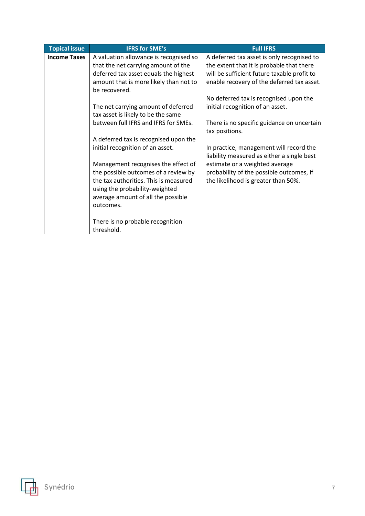| <b>Topical issue</b> | <b>IFRS for SME's</b>                  | <b>Full IFRS</b>                            |
|----------------------|----------------------------------------|---------------------------------------------|
| <b>Income Taxes</b>  | A valuation allowance is recognised so | A deferred tax asset is only recognised to  |
|                      | that the net carrying amount of the    | the extent that it is probable that there   |
|                      | deferred tax asset equals the highest  | will be sufficient future taxable profit to |
|                      | amount that is more likely than not to | enable recovery of the deferred tax asset.  |
|                      | be recovered.                          |                                             |
|                      |                                        | No deferred tax is recognised upon the      |
|                      | The net carrying amount of deferred    | initial recognition of an asset.            |
|                      | tax asset is likely to be the same     |                                             |
|                      | between full IFRS and IFRS for SMEs.   | There is no specific guidance on uncertain  |
|                      |                                        | tax positions.                              |
|                      | A deferred tax is recognised upon the  |                                             |
|                      | initial recognition of an asset.       | In practice, management will record the     |
|                      |                                        | liability measured as either a single best  |
|                      | Management recognises the effect of    | estimate or a weighted average              |
|                      | the possible outcomes of a review by   | probability of the possible outcomes, if    |
|                      | the tax authorities. This is measured  | the likelihood is greater than 50%.         |
|                      | using the probability-weighted         |                                             |
|                      | average amount of all the possible     |                                             |
|                      | outcomes.                              |                                             |
|                      |                                        |                                             |
|                      | There is no probable recognition       |                                             |
|                      | threshold.                             |                                             |

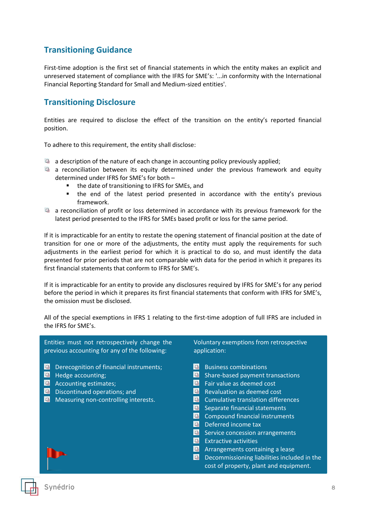# <span id="page-7-0"></span>**Transitioning Guidance**

First-time adoption is the first set of financial statements in which the entity makes an explicit and unreserved statement of compliance with the IFRS for SME's: '...in conformity with the International Financial Reporting Standard for Small and Medium-sized entities'.

### <span id="page-7-1"></span>**Transitioning Disclosure**

Entities are required to disclose the effect of the transition on the entity's reported financial position.

To adhere to this requirement, the entity shall disclose:

- $\Box$  a description of the nature of each change in accounting policy previously applied;
- a reconciliation between its equity determined under the previous framework and equity determined under IFRS for SME's for both –
	- the date of transitioning to IFRS for SMEs, and
	- the end of the latest period presented in accordance with the entity's previous framework.
- a reconciliation of profit or loss determined in accordance with its previous framework for the latest period presented to the IFRS for SMEs based profit or loss for the same period.

If it is impracticable for an entity to restate the opening statement of financial position at the date of transition for one or more of the adjustments, the entity must apply the requirements for such adjustments in the earliest period for which it is practical to do so, and must identify the data presented for prior periods that are not comparable with data for the period in which it prepares its first financial statements that conform to IFRS for SME's.

If it is impracticable for an entity to provide any disclosures required by IFRS for SME's for any period before the period in which it prepares its first financial statements that conform with IFRS for SME's, the omission must be disclosed.

All of the special exemptions in IFRS 1 relating to the first-time adoption of full IFRS are included in the IFRS for SME's.

Entities must not retrospectively change the previous accounting for any of the following: **D** Derecognition of financial instruments:  $\Box$  Hedge accounting; **Accounting estimates: Discontinued operations; and Measuring non-controlling interests.** Voluntary exemptions from retrospective application: **B** Business combinations **G** Share-based payment transactions  $\overline{\mathbf{F}}$  Fair value as deemed cost  $\blacksquare$  Revaluation as deemed cost **G** Cumulative translation differences Separate financial statements **Compound financial instruments** Deferred income tax **G** Service concession arrangements **Extractive activities** 

- **A** Arrangements containing a lease
- Decommissioning liabilities included in the cost of property, plant and equipment.

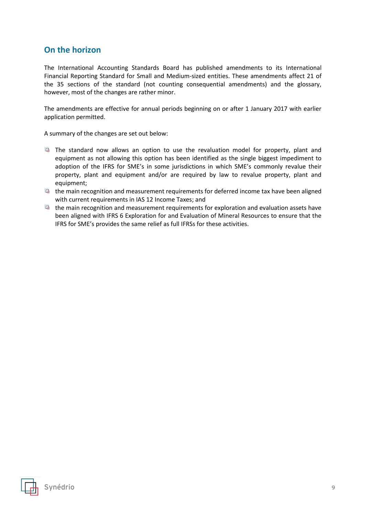# <span id="page-8-0"></span>**On the horizon**

The International Accounting Standards Board has published amendments to its International Financial Reporting Standard for Small and Medium-sized entities. These amendments affect 21 of the 35 sections of the standard (not counting consequential amendments) and the glossary, however, most of the changes are rather minor.

The amendments are effective for annual periods beginning on or after 1 January 2017 with earlier application permitted.

A summary of the changes are set out below:

- The standard now allows an option to use the revaluation model for property, plant and equipment as not allowing this option has been identified as the single biggest impediment to adoption of the IFRS for SME's in some jurisdictions in which SME's commonly revalue their property, plant and equipment and/or are required by law to revalue property, plant and equipment;
- $\Box$  the main recognition and measurement requirements for deferred income tax have been aligned with current requirements in IAS 12 Income Taxes; and
- the main recognition and measurement requirements for exploration and evaluation assets have been aligned with IFRS 6 Exploration for and Evaluation of Mineral Resources to ensure that the IFRS for SME's provides the same relief as full IFRSs for these activities.

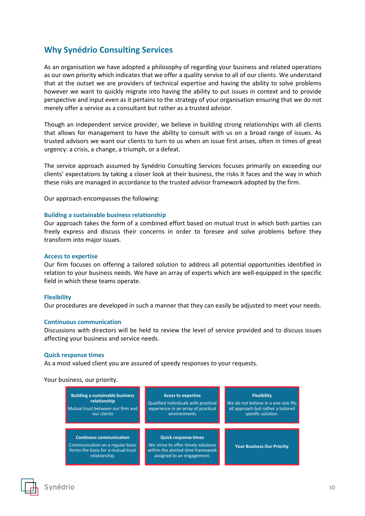## <span id="page-9-0"></span>**Why Synédrio Consulting Services**

As an organisation we have adopted a philosophy of regarding your business and related operations as our own priority which indicates that we offer a quality service to all of our clients. We understand that at the outset we are providers of technical expertise and having the ability to solve problems however we want to quickly migrate into having the ability to put issues in context and to provide perspective and input even as it pertains to the strategy of your organisation ensuring that we do not merely offer a service as a consultant but rather as a trusted advisor.

Though an independent service provider, we believe in building strong relationships with all clients that allows for management to have the ability to consult with us on a broad range of issues. As trusted advisors we want our clients to turn to us when an issue first arises, often in times of great urgency: a crisis, a change, a triumph, or a defeat.

The service approach assumed by Synédrio Consulting Services focuses primarily on exceeding our clients' expectations by taking a closer look at their business, the risks it faces and the way in which these risks are managed in accordance to the trusted advisor framework adopted by the firm.

Our approach encompasses the following:

#### **Building a sustainable business relationship**

Our approach takes the form of a combined effort based on mutual trust in which both parties can freely express and discuss their concerns in order to foresee and solve problems before they transform into major issues.

#### **Access to expertise**

Our firm focuses on offering a tailored solution to address all potential opportunities identified in relation to your business needs. We have an array of experts which are well-equipped in the specific field in which these teams operate.

#### **Flexibility**

Our procedures are developed in such a manner that they can easily be adjusted to meet your needs.

#### **Continuous communication**

Discussions with directors will be held to review the level of service provided and to discuss issues affecting your business and service needs.

#### **Quick response times**

As a most valued client you are assured of speedy responses to your requests.

Your business, our priority.